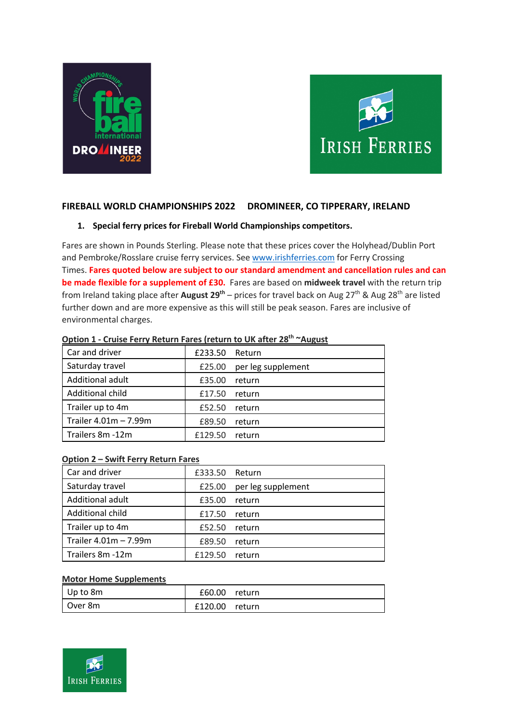



# **FIREBALL WORLD CHAMPIONSHIPS 2022 DROMINEER, CO TIPPERARY, IRELAND**

## **1. Special ferry prices for Fireball World Championships competitors.**

Fares are shown in Pounds Sterling. Please note that these prices cover the Holyhead/Dublin Port and Pembroke/Rosslare cruise ferry services. See www.irishferries.com for Ferry Crossing Times. **Fares quoted below are subject to our standard amendment and cancellation rules and can be made flexible for a supplement of £30.** Fares are based on **midweek travel** with the return trip from Ireland taking place after **August 29<sup>th</sup>** – prices for travel back on Aug 27<sup>th</sup> & Aug 28<sup>th</sup> are listed further down and are more expensive as this will still be peak season. Fares are inclusive of environmental charges.

| Car and driver        | £233.50 Return |                    |
|-----------------------|----------------|--------------------|
| Saturday travel       | £25.00         | per leg supplement |
| Additional adult      | £35.00         | return             |
| Additional child      | £17.50         | return             |
| Trailer up to 4m      | £52.50         | return             |
| Trailer 4.01m - 7.99m | £89.50         | return             |
| Trailers 8m -12m      | £129.50        | return             |

#### **Option 1 - Cruise Ferry Return Fares (return to UK after 28th ~August**

### **Option 2 – Swift Ferry Return Fares**

| Car and driver        | £333.50 Return  |                    |
|-----------------------|-----------------|--------------------|
| Saturday travel       | £25.00          | per leg supplement |
| Additional adult      | £35.00          | return             |
| Additional child      | $£17.50$ return |                    |
| Trailer up to 4m      | £52.50          | return             |
| Trailer 4.01m - 7.99m | £89.50          | return             |
| Trailers 8m -12m      | £129.50         | return             |

#### **Motor Home Supplements**

| $ $ Up to 8m | £60.00  | return |
|--------------|---------|--------|
| l Over 8m    | £120.00 | return |